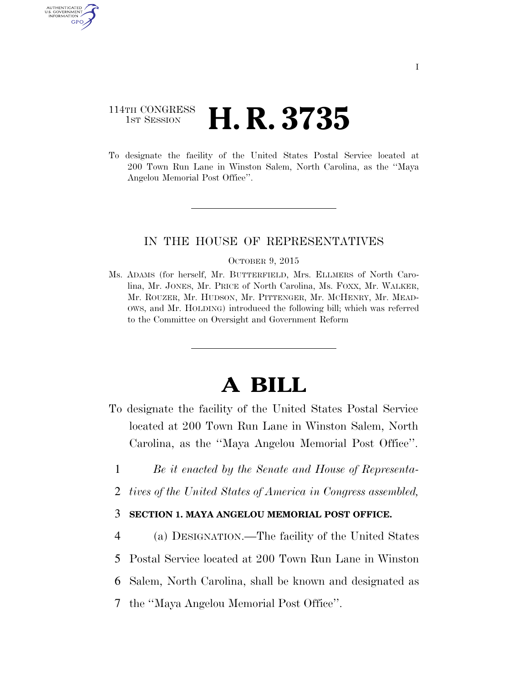# 114TH CONGRESS **1st Session H. R. 3735**

AUTHENTICATED U.S. GOVERNMENT GPO

> To designate the facility of the United States Postal Service located at 200 Town Run Lane in Winston Salem, North Carolina, as the ''Maya Angelou Memorial Post Office''.

### IN THE HOUSE OF REPRESENTATIVES

#### OCTOBER 9, 2015

Ms. ADAMS (for herself, Mr. BUTTERFIELD, Mrs. ELLMERS of North Carolina, Mr. JONES, Mr. PRICE of North Carolina, Ms. FOXX, Mr. WALKER, Mr. ROUZER, Mr. HUDSON, Mr. PITTENGER, Mr. MCHENRY, Mr. MEAD-OWS, and Mr. HOLDING) introduced the following bill; which was referred to the Committee on Oversight and Government Reform

# **A BILL**

- To designate the facility of the United States Postal Service located at 200 Town Run Lane in Winston Salem, North Carolina, as the ''Maya Angelou Memorial Post Office''.
	- 1 *Be it enacted by the Senate and House of Representa-*
	- 2 *tives of the United States of America in Congress assembled,*

## 3 **SECTION 1. MAYA ANGELOU MEMORIAL POST OFFICE.**

- 4 (a) DESIGNATION.—The facility of the United States
- 5 Postal Service located at 200 Town Run Lane in Winston
- 6 Salem, North Carolina, shall be known and designated as
- 7 the ''Maya Angelou Memorial Post Office''.